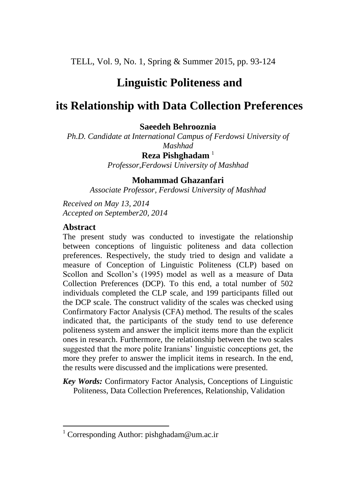TELL, Vol. 9, No. 1, Spring & Summer 2015, pp. 93-124

# **Linguistic Politeness and**

# **its Relationship with Data Collection Preferences**

# **Saeedeh Behrooznia**

*Ph.D. Candidate at International Campus of Ferdowsi University of Mashhad*

> **Reza Pishghadam** <sup>1</sup> *Professor,Ferdowsi University of Mashhad*

# **Mohammad Ghazanfari**

*Associate Professor, Ferdowsi University of Mashhad*

*Received on May 13, 2014 Accepted on September20, 2014*

## **Abstract**

 $\overline{\phantom{a}}$ 

The present study was conducted to investigate the relationship between conceptions of linguistic politeness and data collection preferences. Respectively, the study tried to design and validate a measure of Conception of Linguistic Politeness (CLP) based on Scollon and Scollon's (1995) model as well as a measure of Data Collection Preferences (DCP). To this end, a total number of 502 individuals completed the CLP scale, and 199 participants filled out the DCP scale. The construct validity of the scales was checked using Confirmatory Factor Analysis (CFA) method. The results of the scales indicated that, the participants of the study tend to use deference politeness system and answer the implicit items more than the explicit ones in research. Furthermore, the relationship between the two scales suggested that the more polite Iranians' linguistic conceptions get, the more they prefer to answer the implicit items in research. In the end, the results were discussed and the implications were presented.

*Key Words:* Confirmatory Factor Analysis, Conceptions of Linguistic Politeness, Data Collection Preferences, Relationship, Validation

<sup>&</sup>lt;sup>1</sup> Corresponding Author: pishghadam@um.ac.ir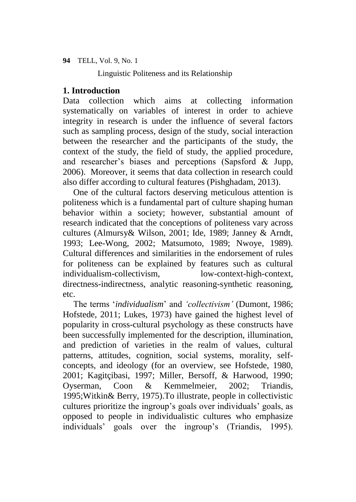Linguistic Politeness and its Relationship

# **1. Introduction**

Data collection which aims at collecting information systematically on variables of interest in order to achieve integrity in research is under the influence of several factors such as sampling process, design of the study, social interaction between the researcher and the participants of the study, the context of the study, the field of study, the applied procedure, and researcher's biases and perceptions (Sapsford & Jupp, 2006). Moreover, it seems that data collection in research could also differ according to cultural features (Pishghadam, 2013).

One of the cultural factors deserving meticulous attention is politeness which is a fundamental part of culture shaping human behavior within a society; however, substantial amount of research indicated that the conceptions of politeness vary across cultures (Almursy& Wilson, 2001; Ide, 1989; Janney & Arndt, 1993; Lee-Wong, 2002; Matsumoto, 1989; Nwoye, 1989). Cultural differences and similarities in the endorsement of rules for politeness can be explained by features such as cultural individualism-collectivism, low-context-high-context, directness-indirectness, analytic reasoning-synthetic reasoning, etc.

The terms '*individualism*' and *'collectivism'* (Dumont, 1986; Hofstede, 2011; Lukes, 1973) have gained the highest level of popularity in cross-cultural psychology as these constructs have been successfully implemented for the description, illumination, and prediction of varieties in the realm of values, cultural patterns, attitudes, cognition, social systems, morality, selfconcepts, and ideology (for an overview, see Hofstede, 1980, 2001; Kagitçibasi, 1997; Miller, Bersoff, & Harwood, 1990; Oyserman, Coon & Kemmelmeier, 2002; Triandis, 1995;Witkin& Berry, 1975).To illustrate, people in collectivistic cultures prioritize the ingroup's goals over individuals' goals, as opposed to people in individualistic cultures who emphasize individuals' goals over the ingroup's (Triandis, 1995).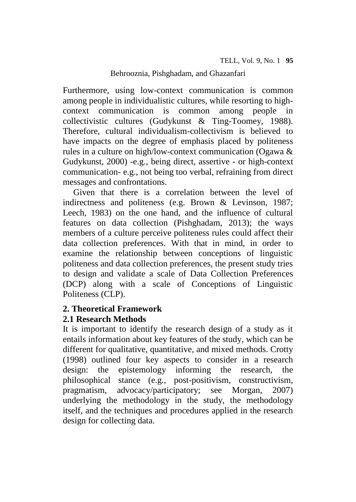Furthermore, using low-context communication is common among people in individualistic cultures, while resorting to highcontext communication is common among people in collectivistic cultures (Gudykunst & Ting-Toomey, 1988). Therefore, cultural individualism-collectivism is believed to have impacts on the degree of emphasis placed by politeness rules in a culture on high/low-context communication (Ogawa & Gudykunst, 2000) -e.g., being direct, assertive - or high-context communication- e.g., not being too verbal, refraining from direct messages and confrontations.

Given that there is a correlation between the level of indirectness and politeness (e.g. Brown & Levinson, 1987; Leech, 1983) on the one hand, and the influence of cultural features on data collection (Pishghadam, 2013); the ways members of a culture perceive politeness rules could affect their data collection preferences. With that in mind, in order to examine the relationship between conceptions of linguistic politeness and data collection preferences, the present study tries to design and validate a scale of Data Collection Preferences (DCP) along with a scale of Conceptions of Linguistic Politeness (CLP).

# **2. Theoretical Framework**

# **2.1 Research Methods**

It is important to identify the research design of a study as it entails information about key features of the study, which can be different for qualitative, quantitative, and mixed methods. Crotty (1998) outlined four key aspects to consider in a research design: the epistemology informing the research, the philosophical stance (e.g., post-positivism, constructivism, pragmatism, advocacy/participatory; see Morgan, 2007) underlying the methodology in the study, the methodology itself, and the techniques and procedures applied in the research design for collecting data.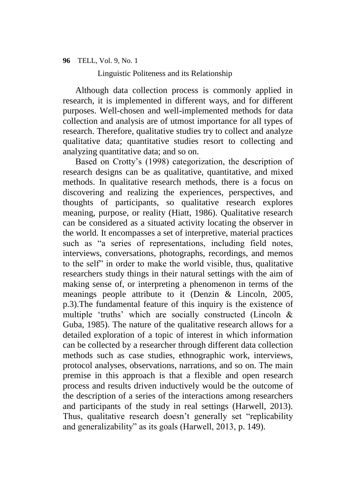Linguistic Politeness and its Relationship

Although data collection process is commonly applied in research, it is implemented in different ways, and for different purposes. Well-chosen and well-implemented methods for data collection and analysis are of utmost importance for all types of research. Therefore, qualitative studies try to collect and analyze qualitative data; quantitative studies resort to collecting and analyzing quantitative data; and so on.

Based on Crotty's (1998) categorization, the description of research designs can be as qualitative, quantitative, and mixed methods. In qualitative research methods, there is a focus on discovering and realizing the experiences, perspectives, and thoughts of participants, so qualitative research explores meaning, purpose, or reality (Hiatt, 1986). Qualitative research can be considered as a situated activity locating the observer in the world. It encompasses a set of interpretive, material practices such as "a series of representations, including field notes, interviews, conversations, photographs, recordings, and memos to the self" in order to make the world visible, thus, qualitative researchers study things in their natural settings with the aim of making sense of, or interpreting a phenomenon in terms of the meanings people attribute to it (Denzin & Lincoln, 2005, p.3).The fundamental feature of this inquiry is the existence of multiple 'truths' which are socially constructed (Lincoln & Guba, 1985). The nature of the qualitative research allows for a detailed exploration of a topic of interest in which information can be collected by a researcher through different data collection methods such as case studies, ethnographic work, interviews, protocol analyses, observations, narrations, and so on. The main premise in this approach is that a flexible and open research process and results driven inductively would be the outcome of the description of a series of the interactions among researchers and participants of the study in real settings (Harwell, 2013). Thus, qualitative research doesn't generally set "replicability and generalizability" as its goals (Harwell, 2013, p. 149).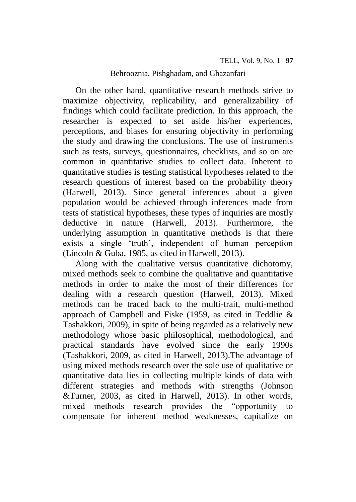On the other hand, quantitative research methods strive to maximize objectivity, replicability, and generalizability of findings which could facilitate prediction. In this approach, the researcher is expected to set aside his/her experiences, perceptions, and biases for ensuring objectivity in performing the study and drawing the conclusions. The use of instruments such as tests, surveys, questionnaires, checklists, and so on are common in quantitative studies to collect data. Inherent to quantitative studies is testing statistical hypotheses related to the research questions of interest based on the probability theory (Harwell, 2013). Since general inferences about a given population would be achieved through inferences made from tests of statistical hypotheses, these types of inquiries are mostly deductive in nature (Harwell, 2013). Furthermore, the underlying assumption in quantitative methods is that there exists a single 'truth', independent of human perception (Lincoln & Guba, 1985, as cited in Harwell, 2013).

Along with the qualitative versus quantitative dichotomy, mixed methods seek to combine the qualitative and quantitative methods in order to make the most of their differences for dealing with a research question (Harwell, 2013). Mixed methods can be traced back to the multi-trait, multi-method approach of Campbell and Fiske (1959, as cited in Teddlie & Tashakkori, 2009), in spite of being regarded as a relatively new methodology whose basic philosophical, methodological, and practical standards have evolved since the early 1990s (Tashakkori, 2009, as cited in Harwell, 2013).The advantage of using mixed methods research over the sole use of qualitative or quantitative data lies in collecting multiple kinds of data with different strategies and methods with strengths (Johnson &Turner, 2003, as cited in Harwell, 2013). In other words, mixed methods research provides the "opportunity to compensate for inherent method weaknesses, capitalize on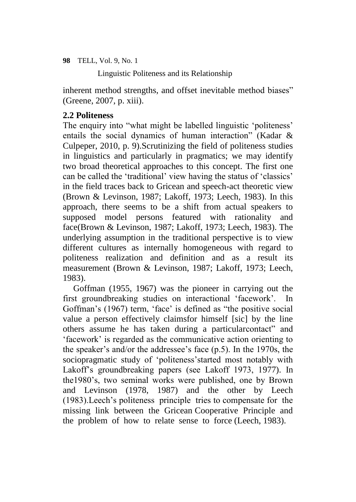Linguistic Politeness and its Relationship

inherent method strengths, and offset inevitable method biases" (Greene, 2007, p. xiii).

# **2.2 Politeness**

The enquiry into "what might be labelled linguistic 'politeness' entails the social dynamics of human interaction" (Kadar & Culpeper, 2010, p. 9).Scrutinizing the field of politeness studies in linguistics and particularly in pragmatics; we may identify two broad theoretical approaches to this concept. The first one can be called the 'traditional' view having the status of 'classics' in the field traces back to Gricean and speech-act theoretic view (Brown & Levinson, 1987; Lakoff, 1973; Leech, 1983). In this approach, there seems to be a shift from actual speakers to supposed model persons featured with rationality and face(Brown & Levinson, 1987; Lakoff, 1973; Leech, 1983). The underlying assumption in the traditional perspective is to view different cultures as internally homogeneous with regard to politeness realization and definition and as a result its measurement (Brown & Levinson, 1987; Lakoff, 1973; Leech, 1983).

Goffman (1955, 1967) was the pioneer in carrying out the first groundbreaking studies on interactional 'facework'. In Goffman's (1967) term, 'face' is defined as "the positive social value a person effectively claimsfor himself [sic] by the line others assume he has taken during a particularcontact" and 'facework' is regarded as the communicative action orienting to the speaker's and/or the addressee's face (p.5). In the 1970s, the sociopragmatic study of 'politeness'started most notably with Lakoff's groundbreaking papers (see Lakoff 1973, 1977). In the1980's, two seminal works were published, one by Brown and Levinson (1978, 1987) and the other by Leech (1983).Leech's politeness principle tries to compensate for the missing link between the Gricean Cooperative Principle and the problem of how to relate sense to force (Leech, 1983).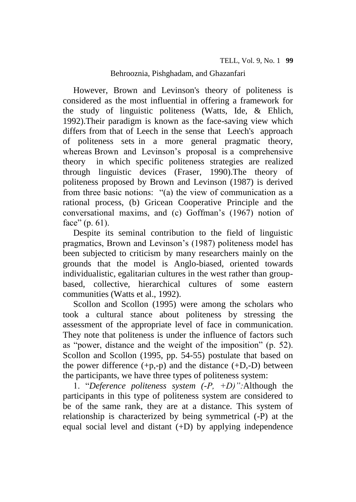However, Brown and Levinson's theory of politeness is considered as the most influential in offering a framework for the study of linguistic politeness (Watts, Ide, & Ehlich, 1992).Their paradigm is known as the face-saving view which differs from that of Leech in the sense that Leech's approach of politeness sets in a more general pragmatic theory, whereas Brown and Levinson's proposal is a comprehensive theory in which specific politeness strategies are realized through linguistic devices (Fraser, 1990).The theory of politeness proposed by Brown and Levinson (1987) is derived from three basic notions: "(a) the view of communication as a rational process, (b) Gricean Cooperative Principle and the conversational maxims, and (c) Goffman's (1967) notion of face" (p. 61).

Despite its seminal contribution to the field of linguistic pragmatics, Brown and Levinson's (1987) politeness model has been subjected to criticism by many researchers mainly on the grounds that the model is Anglo-biased, oriented towards individualistic, egalitarian cultures in the west rather than groupbased, collective, hierarchical cultures of some eastern communities (Watts et al., 1992).

Scollon and Scollon (1995) were among the scholars who took a cultural stance about politeness by stressing the assessment of the appropriate level of face in communication. They note that politeness is under the influence of factors such as "power, distance and the weight of the imposition" (p. 52). Scollon and Scollon (1995, pp. 54-55) postulate that based on the power difference  $(+p,-p)$  and the distance  $(+D,-D)$  between the participants, we have three types of politeness system:

1. "*Deference politeness system (-P, +D)":*Although the participants in this type of politeness system are considered to be of the same rank, they are at a distance. This system of relationship is characterized by being symmetrical (-P) at the equal social level and distant (+D) by applying independence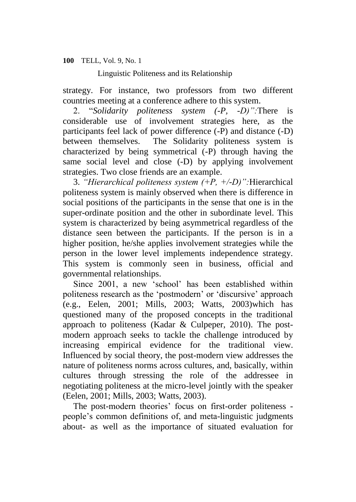Linguistic Politeness and its Relationship

strategy. For instance, two professors from two different countries meeting at a conference adhere to this system.

2. "*Solidarity politeness system (-P, -D)":*There is considerable use of involvement strategies here, as the participants feel lack of power difference (-P) and distance (-D) between themselves. The Solidarity politeness system is characterized by being symmetrical (-P) through having the same social level and close (-D) by applying involvement strategies. Two close friends are an example.

3. *"Hierarchical politeness system (+P, +/-D)":*Hierarchical politeness system is mainly observed when there is difference in social positions of the participants in the sense that one is in the super-ordinate position and the other in subordinate level. This system is characterized by being asymmetrical regardless of the distance seen between the participants. If the person is in a higher position, he/she applies involvement strategies while the person in the lower level implements independence strategy. This system is commonly seen in business, official and governmental relationships.

Since 2001, a new 'school' has been established within politeness research as the 'postmodern' or 'discursive' approach (e.g., Eelen, 2001; Mills, 2003; Watts, 2003)which has questioned many of the proposed concepts in the traditional approach to politeness (Kadar & Culpeper, 2010). The postmodern approach seeks to tackle the challenge introduced by increasing empirical evidence for the traditional view. Influenced by social theory, the post-modern view addresses the nature of politeness norms across cultures, and, basically, within cultures through stressing the role of the addressee in negotiating politeness at the micro-level jointly with the speaker (Eelen, 2001; Mills, 2003; Watts, 2003).

The post-modern theories' focus on first-order politeness people's common definitions of, and meta-linguistic judgments about- as well as the importance of situated evaluation for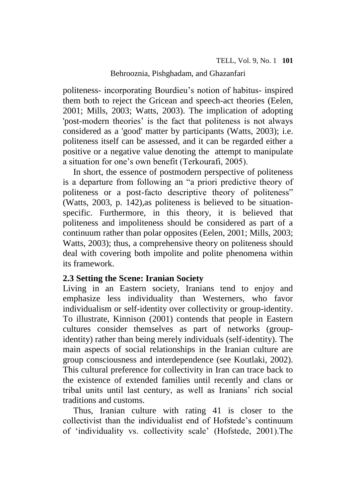politeness- incorporating Bourdieu's notion of habitus- inspired them both to reject the Gricean and speech-act theories (Eelen, 2001; Mills, 2003; Watts, 2003). The implication of adopting 'post-modern theories' is the fact that politeness is not always considered as a 'good' matter by participants (Watts, 2003); i.e. politeness itself can be assessed, and it can be regarded either a positive or a negative value denoting the attempt to manipulate a situation for one's own benefit (Terkourafi, 2005).

In short, the essence of postmodern perspective of politeness is a departure from following an "a priori predictive theory of politeness or a post-facto descriptive theory of politeness" (Watts, 2003, p. 142),as politeness is believed to be situationspecific. Furthermore, in this theory, it is believed that politeness and impoliteness should be considered as part of a continuum rather than polar opposites (Eelen, 2001; Mills, 2003; Watts, 2003); thus, a comprehensive theory on politeness should deal with covering both impolite and polite phenomena within its framework.

# **2.3 Setting the Scene: Iranian Society**

Living in an Eastern society, Iranians tend to enjoy and emphasize less individuality than Westerners, who favor individualism or self-identity over collectivity or group-identity. To illustrate, Kinnison (2001) contends that people in Eastern cultures consider themselves as part of networks (groupidentity) rather than being merely individuals (self-identity). The main aspects of social relationships in the Iranian culture are group consciousness and interdependence (see Koutlaki, 2002). This cultural preference for collectivity in Iran can trace back to the existence of extended families until recently and clans or tribal units until last century, as well as Iranians' rich social traditions and customs.

Thus, Iranian culture with rating 41 is closer to the collectivist than the individualist end of Hofstede's continuum of 'individuality vs. collectivity scale' (Hofstede, 2001).The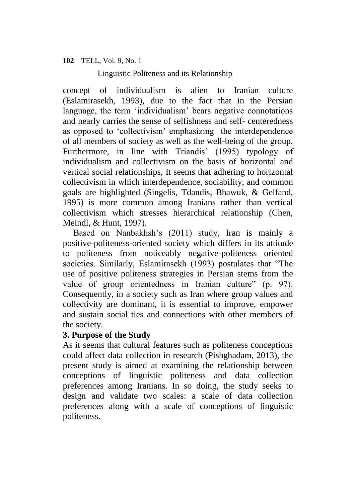Linguistic Politeness and its Relationship

concept of individualism is alien to Iranian culture (Eslamirasekh, 1993), due to the fact that in the Persian language, the term 'individualism' bears negative connotations and nearly carries the sense of selfishness and self- centeredness as opposed to 'collectivism' emphasizing the interdependence of all members of society as well as the well-being of the group. Furthermore, in line with Triandis' (1995) typology of individualism and collectivism on the basis of horizontal and vertical social relationships, It seems that adhering to horizontal collectivism in which interdependence, sociability, and common goals are highlighted (Singelis, Tdandis, Bhawuk, & Gelfand, 1995) is more common among Iranians rather than vertical collectivism which stresses hierarchical relationship (Chen, Meindl, & Hunt, 1997).

Based on Nanbakhsh's (2011) study, Iran is mainly a positive-politeness-oriented society which differs in its attitude to politeness from noticeably negative-politeness oriented societies. Similarly, Eslamirasekh (1993) postulates that "The use of positive politeness strategies in Persian stems from the value of group orientedness in Iranian culture" (p. 97). Consequently, in a society such as Iran where group values and collectivity are dominant, it is essential to improve, empower and sustain social ties and connections with other members of the society.

# **3. Purpose of the Study**

As it seems that cultural features such as politeness conceptions could affect data collection in research (Pishghadam, 2013), the present study is aimed at examining the relationship between conceptions of linguistic politeness and data collection preferences among Iranians. In so doing, the study seeks to design and validate two scales: a scale of data collection preferences along with a scale of conceptions of linguistic politeness.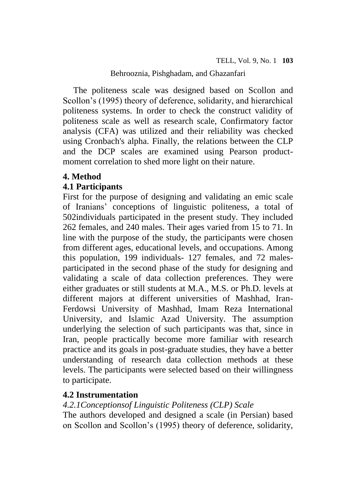The politeness scale was designed based on Scollon and Scollon's (1995) theory of deference, solidarity, and hierarchical politeness systems. In order to check the construct validity of politeness scale as well as research scale, Confirmatory factor analysis (CFA) was utilized and their reliability was checked using Cronbach's alpha. Finally, the relations between the CLP and the DCP scales are examined using Pearson productmoment correlation to shed more light on their nature.

# **4. Method**

# **4.1 Participants**

First for the purpose of designing and validating an emic scale of Iranians' conceptions of linguistic politeness, a total of 502individuals participated in the present study. They included 262 females, and 240 males. Their ages varied from 15 to 71. In line with the purpose of the study, the participants were chosen from different ages, educational levels, and occupations. Among this population, 199 individuals- 127 females, and 72 malesparticipated in the second phase of the study for designing and validating a scale of data collection preferences. They were either graduates or still students at M.A., M.S. or Ph.D. levels at different majors at different universities of Mashhad, Iran-Ferdowsi University of Mashhad, Imam Reza International University, and Islamic Azad University. The assumption underlying the selection of such participants was that, since in Iran, people practically become more familiar with research practice and its goals in post-graduate studies, they have a better understanding of research data collection methods at these levels. The participants were selected based on their willingness to participate.

# **4.2 Instrumentation**

# *4.2.1Conceptionsof Linguistic Politeness (CLP) Scale*

The authors developed and designed a scale (in Persian) based on Scollon and Scollon's (1995) theory of deference, solidarity,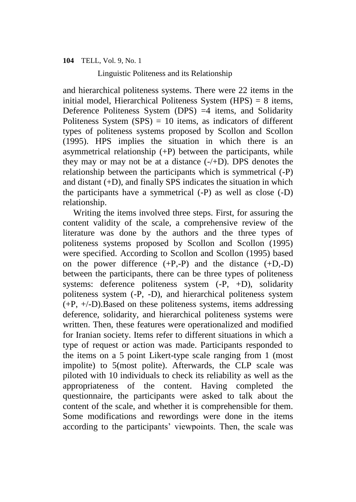Linguistic Politeness and its Relationship

and hierarchical politeness systems. There were 22 items in the initial model, Hierarchical Politeness System  $(HPS) = 8$  items, Deference Politeness System (DPS) =4 items, and Solidarity Politeness System  $(SPS) = 10$  items, as indicators of different types of politeness systems proposed by Scollon and Scollon (1995). HPS implies the situation in which there is an asymmetrical relationship  $(+P)$  between the participants, while they may or may not be at a distance  $(-/+D)$ . DPS denotes the relationship between the participants which is symmetrical (-P) and distant (+D), and finally SPS indicates the situation in which the participants have a symmetrical (-P) as well as close (-D) relationship.

Writing the items involved three steps. First, for assuring the content validity of the scale, a comprehensive review of the literature was done by the authors and the three types of politeness systems proposed by Scollon and Scollon (1995) were specified. According to Scollon and Scollon (1995) based on the power difference  $(+P,-P)$  and the distance  $(+D,-D)$ between the participants, there can be three types of politeness systems: deference politeness system  $(-P, +D)$ , solidarity politeness system (-P, -D), and hierarchical politeness system (+P, +/-D).Based on these politeness systems, items addressing deference, solidarity, and hierarchical politeness systems were written. Then, these features were operationalized and modified for Iranian society. Items refer to different situations in which a type of request or action was made. Participants responded to the items on a 5 point Likert-type scale ranging from 1 (most impolite) to 5(most polite). Afterwards, the CLP scale was piloted with 10 individuals to check its reliability as well as the appropriateness of the content. Having completed the questionnaire, the participants were asked to talk about the content of the scale, and whether it is comprehensible for them. Some modifications and rewordings were done in the items according to the participants' viewpoints. Then, the scale was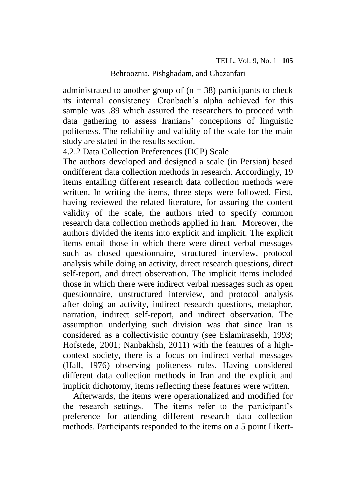administrated to another group of  $(n = 38)$  participants to check its internal consistency. Cronbach's alpha achieved for this sample was .89 which assured the researchers to proceed with data gathering to assess Iranians' conceptions of linguistic politeness. The reliability and validity of the scale for the main study are stated in the results section.

4.2.2 Data Collection Preferences (DCP) Scale

The authors developed and designed a scale (in Persian) based ondifferent data collection methods in research. Accordingly, 19 items entailing different research data collection methods were written. In writing the items, three steps were followed. First, having reviewed the related literature, for assuring the content validity of the scale, the authors tried to specify common research data collection methods applied in Iran. Moreover, the authors divided the items into explicit and implicit. The explicit items entail those in which there were direct verbal messages such as closed questionnaire, structured interview, protocol analysis while doing an activity, direct research questions, direct self-report, and direct observation. The implicit items included those in which there were indirect verbal messages such as open questionnaire, unstructured interview, and protocol analysis after doing an activity, indirect research questions, metaphor, narration, indirect self-report, and indirect observation. The assumption underlying such division was that since Iran is considered as a collectivistic country (see Eslamirasekh, 1993; Hofstede, 2001; Nanbakhsh, 2011) with the features of a highcontext society, there is a focus on indirect verbal messages (Hall, 1976) observing politeness rules. Having considered different data collection methods in Iran and the explicit and implicit dichotomy, items reflecting these features were written.

Afterwards, the items were operationalized and modified for the research settings. The items refer to the participant's preference for attending different research data collection methods. Participants responded to the items on a 5 point Likert-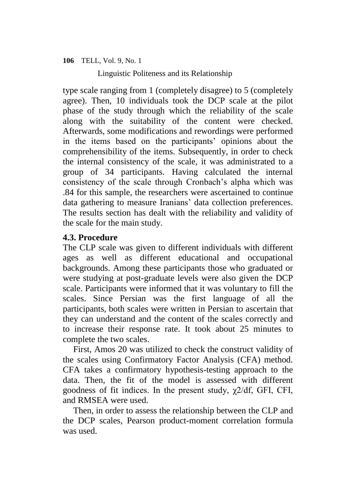Linguistic Politeness and its Relationship

type scale ranging from 1 (completely disagree) to 5 (completely agree). Then, 10 individuals took the DCP scale at the pilot phase of the study through which the reliability of the scale along with the suitability of the content were checked. Afterwards, some modifications and rewordings were performed in the items based on the participants' opinions about the comprehensibility of the items. Subsequently, in order to check the internal consistency of the scale, it was administrated to a group of 34 participants. Having calculated the internal consistency of the scale through Cronbach's alpha which was .84 for this sample, the researchers were ascertained to continue data gathering to measure Iranians' data collection preferences. The results section has dealt with the reliability and validity of the scale for the main study.

# **4.3. Procedure**

The CLP scale was given to different individuals with different ages as well as different educational and occupational backgrounds. Among these participants those who graduated or were studying at post-graduate levels were also given the DCP scale. Participants were informed that it was voluntary to fill the scales. Since Persian was the first language of all the participants, both scales were written in Persian to ascertain that they can understand and the content of the scales correctly and to increase their response rate. It took about 25 minutes to complete the two scales.

First, Amos 20 was utilized to check the construct validity of the scales using Confirmatory Factor Analysis (CFA) method. CFA takes a confirmatory hypothesis-testing approach to the data. Then, the fit of the model is assessed with different goodness of fit indices. In the present study, χ2/df, GFI, CFI, and RMSEA were used.

Then, in order to assess the relationship between the CLP and the DCP scales, Pearson product-moment correlation formula was used.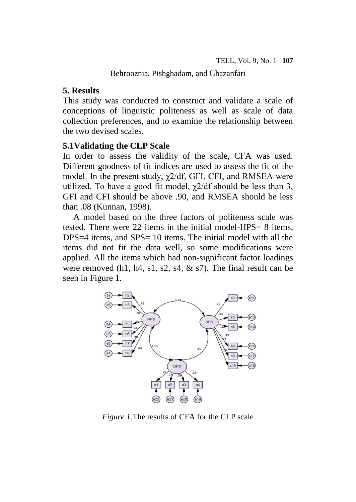# **5. Results**

This study was conducted to construct and validate a scale of conceptions of linguistic politeness as well as scale of data collection preferences, and to examine the relationship between the two devised scales.

# **5.1Validating the CLP Scale**

In order to assess the validity of the scale, CFA was used. Different goodness of fit indices are used to assess the fit of the model. In the present study,  $\chi$ 2/df, GFI, CFI, and RMSEA were utilized. To have a good fit model,  $\chi$ 2/df should be less than 3, GFI and CFI should be above .90, and RMSEA should be less than .08 (Kunnan, 1998).

A model based on the three factors of politeness scale was tested. There were 22 items in the initial model-HPS= 8 items, DPS=4 items, and SPS= 10 items. The initial model with all the items did not fit the data well, so some modifications were applied. All the items which had non-significant factor loadings were removed (h1, h4, s1, s2, s4,  $\&$  s7). The final result can be seen in Figure 1.



*Figure 1.*The results of CFA for the CLP scale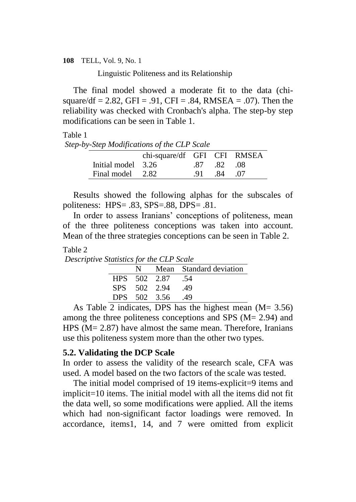Linguistic Politeness and its Relationship

The final model showed a moderate fit to the data (chisquare/df = 2.82, GFI = .91, CFI = .84, RMSEA = .07). Then the reliability was checked with Cronbach's alpha. The step-by step modifications can be seen in Table 1.

## Table 1

*Step-by-Step Modifications of the CLP Scale*

|                    | chi-square/df GFI CFI RMSEA |             |  |
|--------------------|-----------------------------|-------------|--|
| Initial model 3.26 |                             | .87 .82 .08 |  |
| Final model 2.82   |                             | 91 84 07    |  |

Results showed the following alphas for the subscales of politeness: HPS= .83, SPS=.88, DPS= .81.

In order to assess Iranians' conceptions of politeness, mean of the three politeness conceptions was taken into account. Mean of the three strategies conceptions can be seen in Table 2.

### Table 2

*Descriptive Statistics for the CLP Scale*

| N            |                  | Mean Standard deviation |
|--------------|------------------|-------------------------|
|              | HPS 502 2.87 .54 |                         |
| SPS 502 2.94 |                  | -49                     |
|              | DPS 502 3.56     | -49                     |

As Table 2 indicates, DPS has the highest mean  $(M= 3.56)$ among the three politeness conceptions and SPS (M= 2.94) and HPS (M = 2.87) have almost the same mean. Therefore, Iranians use this politeness system more than the other two types.

### **5.2. Validating the DCP Scale**

In order to assess the validity of the research scale, CFA was used. A model based on the two factors of the scale was tested.

The initial model comprised of 19 items-explicit=9 items and implicit=10 items. The initial model with all the items did not fit the data well, so some modifications were applied. All the items which had non-significant factor loadings were removed. In accordance, items1, 14, and 7 were omitted from explicit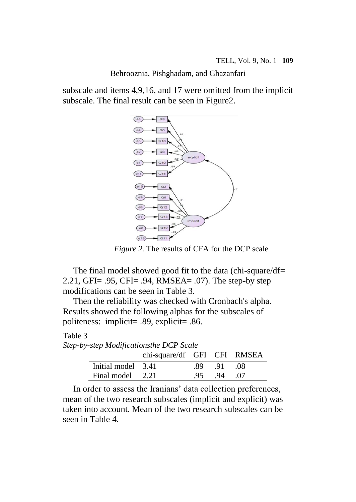subscale and items 4,9,16, and 17 were omitted from the implicit subscale. The final result can be seen in Figure2.



*Figure 2.* The results of CFA for the DCP scale

The final model showed good fit to the data (chi-square/df= 2.21, GFI= .95, CFI= .94, RMSEA= .07). The step-by step modifications can be seen in Table 3.

Then the reliability was checked with Cronbach's alpha. Results showed the following alphas for the subscales of politeness: implicit= .89, explicit= .86.

## Table 3

| Step-by-step Modificationsthe DCP Scale |                    |                             |      |       |       |  |  |
|-----------------------------------------|--------------------|-----------------------------|------|-------|-------|--|--|
|                                         |                    | chi-square/df GFI CFI RMSEA |      |       |       |  |  |
|                                         | Initial model 3.41 |                             | - 89 | $-91$ | - 08  |  |  |
|                                         | Final model 2.21   |                             | -95  | .94   | . .07 |  |  |

In order to assess the Iranians' data collection preferences, mean of the two research subscales (implicit and explicit) was taken into account. Mean of the two research subscales can be seen in Table 4.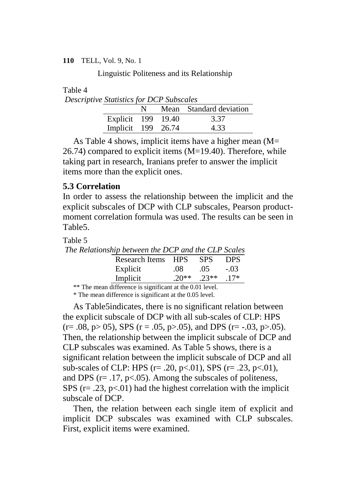Linguistic Politeness and its Relationship

Table 4

| <b>Descriptive Statistics for DCP Subscales</b> |                    |    |  |                         |  |  |  |  |  |
|-------------------------------------------------|--------------------|----|--|-------------------------|--|--|--|--|--|
|                                                 |                    | N. |  | Mean Standard deviation |  |  |  |  |  |
|                                                 | Explicit 199 19.40 |    |  | 3.37                    |  |  |  |  |  |
|                                                 | Implicit 199 26.74 |    |  | 4.33                    |  |  |  |  |  |

As Table 4 shows, implicit items have a higher mean (M=  $26.74$ ) compared to explicit items  $(M=19.40)$ . Therefore, while taking part in research, Iranians prefer to answer the implicit items more than the explicit ones.

# **5.3 Correlation**

In order to assess the relationship between the implicit and the explicit subscales of DCP with CLP subscales, Pearson productmoment correlation formula was used. The results can be seen in Table5.

Table 5

*The Relationship between the DCP and the CLP Scales* Research Items HPS SPS DPS Explicit .08 .05 -.03 Implicit .20\*\* .23\*\* .17\*

\*\* The mean difference is significant at the 0.01 level.

\* The mean difference is significant at the 0.05 level.

As Table5indicates, there is no significant relation between the explicit subscale of DCP with all sub-scales of CLP: HPS  $(r=.08, p>05)$ , SPS  $(r=.05, p>.05)$ , and DPS  $(r=.03, p>.05)$ . Then, the relationship between the implicit subscale of DCP and CLP subscales was examined. As Table 5 shows, there is a significant relation between the implicit subscale of DCP and all sub-scales of CLP: HPS ( $r = .20$ ,  $p < .01$ ), SPS ( $r = .23$ ,  $p < .01$ ), and DPS ( $r = .17$ ,  $p < .05$ ). Among the subscales of politeness, SPS ( $r = .23$ ,  $p < .01$ ) had the highest correlation with the implicit subscale of DCP.

Then, the relation between each single item of explicit and implicit DCP subscales was examined with CLP subscales. First, explicit items were examined.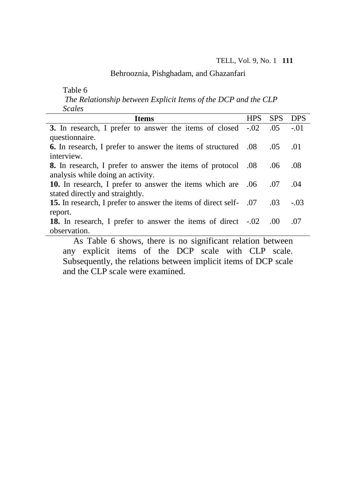Table 6

*The Relationship between Explicit Items of the DCP and the CLP Scales*

| pearco                                                                |            |            |            |
|-----------------------------------------------------------------------|------------|------------|------------|
| <b>Items</b>                                                          | <b>HPS</b> | <b>SPS</b> | <b>DPS</b> |
| 3. In research, I prefer to answer the items of closed -.02           |            | .05        | $-.01$     |
| questionnaire.                                                        |            |            |            |
| <b>6.</b> In research, I prefer to answer the items of structured .08 |            | .05        | .01        |
| interview.                                                            |            |            |            |
| 8. In research, I prefer to answer the items of protocol .08          |            | .06        | .08        |
| analysis while doing an activity.                                     |            |            |            |
| 10. In research, I prefer to answer the items which are .06           |            | .07        | .04        |
| stated directly and straightly.                                       |            |            |            |
| 15. In research, I prefer to answer the items of direct self- .07     |            | .03        | $-.03$     |
| report.                                                               |            |            |            |
| <b>18.</b> In research, I prefer to answer the items of direct -.02   |            | .00        | .07        |
| observation.                                                          |            |            |            |
| As Table 6 shows there is no significant relation between             |            |            |            |

As Table 6 shows, there is no significant relation between any explicit items of the DCP scale with CLP scale. Subsequently, the relations between implicit items of DCP scale and the CLP scale were examined.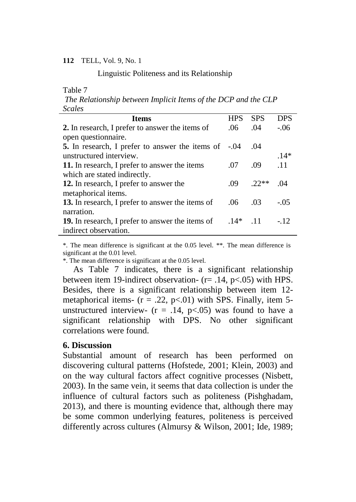Linguistic Politeness and its Relationship

#### Table 7

*The Relationship between Implicit Items of the DCP and the CLP Scales*

| <b>Items</b>                                                | <b>HPS</b> | <b>SPS</b> | <b>DPS</b> |
|-------------------------------------------------------------|------------|------------|------------|
| 2. In research, I prefer to answer the items of             | .06        | .04        | $-.06$     |
| open questionnaire.                                         |            |            |            |
| <b>5.</b> In research, I prefer to answer the items of -.04 |            | .04        |            |
| unstructured interview.                                     |            |            | $14*$      |
| 11. In research, I prefer to answer the items               | .07        | .09        | .11        |
| which are stated indirectly.                                |            |            |            |
| 12. In research, I prefer to answer the                     | .09        | $22**$     | -04        |
| metaphorical items.                                         |            |            |            |
| 13. In research, I prefer to answer the items of            | .06        | .03        | $-.05$     |
| narration.                                                  |            |            |            |
| <b>19.</b> In research, I prefer to answer the items of     | $.14*$     | $-11$      | $-12$      |
| indirect observation.                                       |            |            |            |

\*. The mean difference is significant at the 0.05 level. \*\*. The mean difference is significant at the 0.01 level.

\*. The mean difference is significant at the 0.05 level.

As Table 7 indicates, there is a significant relationship between item 19-indirect observation- (r= .14, p<.05) with HPS. Besides, there is a significant relationship between item 12 metaphorical items-  $(r = .22, p<.01)$  with SPS. Finally, item 5unstructured interview-  $(r = .14, p<.05)$  was found to have a significant relationship with DPS. No other significant correlations were found.

# **6. Discussion**

Substantial amount of research has been performed on discovering cultural patterns (Hofstede, 2001; Klein, 2003) and on the way cultural factors affect cognitive processes (Nisbett, 2003). In the same vein, it seems that data collection is under the influence of cultural factors such as politeness (Pishghadam, 2013), and there is mounting evidence that, although there may be some common underlying features, politeness is perceived differently across cultures (Almursy & Wilson, 2001; Ide, 1989;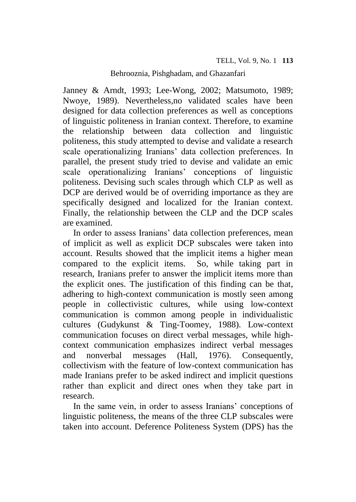Janney & Arndt, 1993; Lee-Wong, 2002; Matsumoto, 1989; Nwoye, 1989). Nevertheless,no validated scales have been designed for data collection preferences as well as conceptions of linguistic politeness in Iranian context. Therefore, to examine the relationship between data collection and linguistic politeness, this study attempted to devise and validate a research scale operationalizing Iranians' data collection preferences. In parallel, the present study tried to devise and validate an emic scale operationalizing Iranians' conceptions of linguistic politeness. Devising such scales through which CLP as well as DCP are derived would be of overriding importance as they are specifically designed and localized for the Iranian context. Finally, the relationship between the CLP and the DCP scales are examined.

In order to assess Iranians' data collection preferences, mean of implicit as well as explicit DCP subscales were taken into account. Results showed that the implicit items a higher mean compared to the explicit items. So, while taking part in research, Iranians prefer to answer the implicit items more than the explicit ones. The justification of this finding can be that, adhering to high-context communication is mostly seen among people in collectivistic cultures, while using low-context communication is common among people in individualistic cultures (Gudykunst & Ting-Toomey, 1988). Low-context communication focuses on direct verbal messages, while highcontext communication emphasizes indirect verbal messages and nonverbal messages (Hall, 1976). Consequently, collectivism with the feature of low-context communication has made Iranians prefer to be asked indirect and implicit questions rather than explicit and direct ones when they take part in research.

In the same vein, in order to assess Iranians' conceptions of linguistic politeness, the means of the three CLP subscales were taken into account. Deference Politeness System (DPS) has the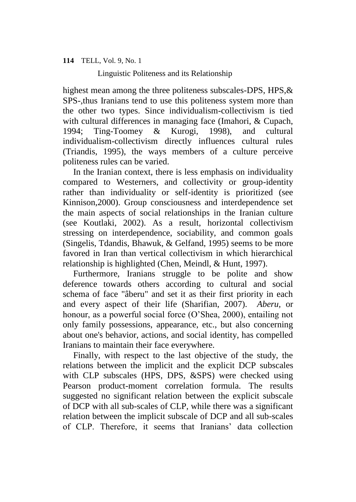Linguistic Politeness and its Relationship

highest mean among the three politeness subscales-DPS, HPS, & SPS-,thus Iranians tend to use this politeness system more than the other two types. Since individualism-collectivism is tied with cultural differences in managing face (Imahori, & Cupach, 1994; Ting-Toomey & Kurogi, 1998), and cultural individualism-collectivism directly influences cultural rules (Triandis, 1995), the ways members of a culture perceive politeness rules can be varied.

In the Iranian context, there is less emphasis on individuality compared to Westerners, and collectivity or group-identity rather than individuality or self-identity is prioritized (see Kinnison,2000). Group consciousness and interdependence set the main aspects of social relationships in the Iranian culture (see Koutlaki, 2002). As a result, horizontal collectivism stressing on interdependence, sociability, and common goals (Singelis, Tdandis, Bhawuk, & Gelfand, 1995) seems to be more favored in Iran than vertical collectivism in which hierarchical relationship is highlighted (Chen, Meindl, & Hunt, 1997).

Furthermore, Iranians struggle to be polite and show deference towards others according to cultural and social schema of face "âberu" and set it as their first priority in each and every aspect of their life (Sharifian, 2007). *Aberu,* or honour, as a powerful social force (O'Shea, 2000), entailing not only family possessions, appearance, etc., but also concerning about one's behavior, actions, and social identity, has compelled Iranians to maintain their face everywhere.

Finally, with respect to the last objective of the study, the relations between the implicit and the explicit DCP subscales with CLP subscales (HPS, DPS, &SPS) were checked using Pearson product-moment correlation formula. The results suggested no significant relation between the explicit subscale of DCP with all sub-scales of CLP, while there was a significant relation between the implicit subscale of DCP and all sub-scales of CLP. Therefore, it seems that Iranians' data collection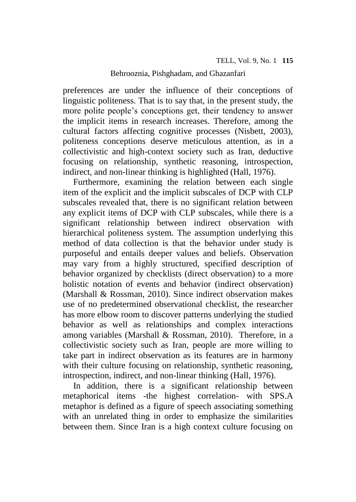preferences are under the influence of their conceptions of linguistic politeness. That is to say that, in the present study, the more polite people's conceptions get, their tendency to answer the implicit items in research increases. Therefore, among the cultural factors affecting cognitive processes (Nisbett, 2003), politeness conceptions deserve meticulous attention, as in a collectivistic and high-context society such as Iran, deductive focusing on relationship, synthetic reasoning, introspection, indirect, and non-linear thinking is highlighted (Hall, 1976).

Furthermore, examining the relation between each single item of the explicit and the implicit subscales of DCP with CLP subscales revealed that, there is no significant relation between any explicit items of DCP with CLP subscales, while there is a significant relationship between indirect observation with hierarchical politeness system. The assumption underlying this method of data collection is that the behavior under study is purposeful and entails deeper values and beliefs. Observation may vary from a highly structured, specified description of behavior organized by checklists (direct observation) to a more holistic notation of events and behavior (indirect observation) (Marshall & Rossman, 2010). Since indirect observation makes use of no predetermined observational checklist, the researcher has more elbow room to discover patterns underlying the studied behavior as well as relationships and complex interactions among variables (Marshall & Rossman, 2010). Therefore, in a collectivistic society such as Iran, people are more willing to take part in indirect observation as its features are in harmony with their culture focusing on relationship, synthetic reasoning, introspection, indirect, and non-linear thinking (Hall, 1976).

In addition, there is a significant relationship between metaphorical items -the highest correlation- with SPS.A metaphor is defined as a figure of speech associating something with an unrelated thing in order to emphasize the similarities between them. Since Iran is a high context culture focusing on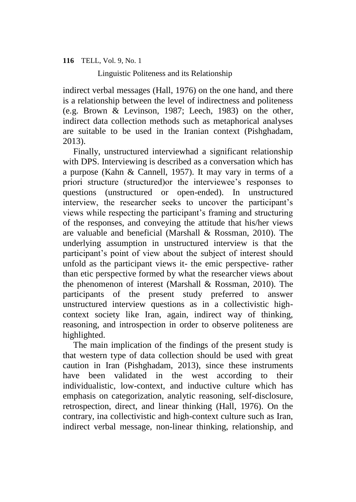Linguistic Politeness and its Relationship

indirect verbal messages (Hall, 1976) on the one hand, and there is a relationship between the level of indirectness and politeness (e.g. Brown & Levinson, 1987; Leech, 1983) on the other, indirect data collection methods such as metaphorical analyses are suitable to be used in the Iranian context (Pishghadam, 2013).

Finally, unstructured interviewhad a significant relationship with DPS. Interviewing is described as a conversation which has a purpose (Kahn & Cannell, 1957). It may vary in terms of a priori structure (structured)or the interviewee's responses to questions (unstructured or open-ended). In unstructured interview, the researcher seeks to uncover the participant's views while respecting the participant's framing and structuring of the responses, and conveying the attitude that his/her views are valuable and beneficial (Marshall & Rossman, 2010). The underlying assumption in unstructured interview is that the participant's point of view about the subject of interest should unfold as the participant views it- the emic perspective- rather than etic perspective formed by what the researcher views about the phenomenon of interest (Marshall & Rossman, 2010). The participants of the present study preferred to answer unstructured interview questions as in a collectivistic highcontext society like Iran, again, indirect way of thinking, reasoning, and introspection in order to observe politeness are highlighted.

The main implication of the findings of the present study is that western type of data collection should be used with great caution in Iran (Pishghadam, 2013), since these instruments have been validated in the west according to their individualistic, low-context, and inductive culture which has emphasis on categorization, analytic reasoning, self-disclosure, retrospection, direct, and linear thinking (Hall, 1976). On the contrary, ina collectivistic and high-context culture such as Iran, indirect verbal message, non-linear thinking, relationship, and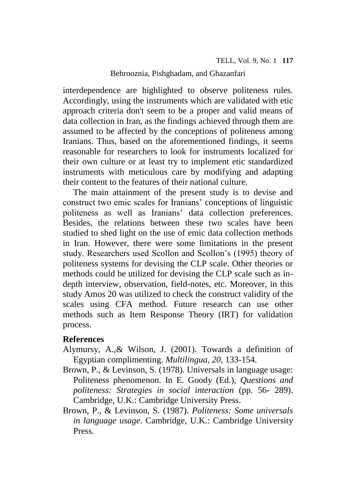interdependence are highlighted to observe politeness rules. Accordingly, using the instruments which are validated with etic approach criteria don't seem to be a proper and valid means of data collection in Iran, as the findings achieved through them are assumed to be affected by the conceptions of politeness among Iranians. Thus, based on the aforementioned findings, it seems reasonable for researchers to look for instruments localized for their own culture or at least try to implement etic standardized instruments with meticulous care by modifying and adapting their content to the features of their national culture.

The main attainment of the present study is to devise and construct two emic scales for Iranians' conceptions of linguistic politeness as well as Iranians' data collection preferences. Besides, the relations between these two scales have been studied to shed light on the use of emic data collection methods in Iran. However, there were some limitations in the present study. Researchers used Scollon and Scollon's (1995) theory of politeness systems for devising the CLP scale. Other theories or methods could be utilized for devising the CLP scale such as indepth interview, observation, field-notes, etc. Moreover, in this study Amos 20 was utilized to check the construct validity of the scales using CFA method. Future research can use other methods such as Item Response Theory (IRT) for validation process.

# **References**

- Alymursy, A.,& Wilson, J. (2001). Towards a definition of Egyptian complimenting. *Multilingua, 20*, 133-154.
- Brown, P., & Levinson, S. (1978). Universals in language usage: Politeness phenomenon. In E. Goody (Ed.), *Questions and politeness: Strategies in social interaction* (pp. 56- 289). Cambridge, U.K.: Cambridge University Press.
- Brown, P., & Levinson, S. (1987). *Politeness: Some universals in language usage*. Cambridge, U.K.: Cambridge University Press.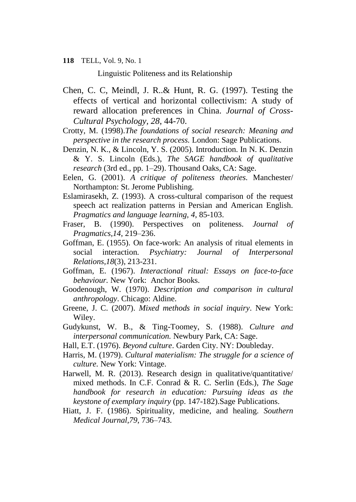Linguistic Politeness and its Relationship

- Chen, C. C, Meindl, J. R..& Hunt, R. G. (1997). Testing the effects of vertical and horizontal collectivism: A study of reward allocation preferences in China. *Journal of Cross-Cultural Psychology, 28*, 44-70.
- Crotty, M. (1998).*The foundations of social research: Meaning and perspective in the research process.* London: Sage Publications.
- Denzin, N. K., & Lincoln, Y. S. (2005). Introduction. In N. K. Denzin & Y. S. Lincoln (Eds.), *The SAGE handbook of qualitative research* (3rd ed., pp. 1–29). Thousand Oaks, CA: Sage.
- Eelen, G. (2001). *A critique of politeness theories.* Manchester/ Northampton: St. Jerome Publishing.
- Eslamirasekh, Z. (1993). A cross-cultural comparison of the request speech act realization patterns in Persian and American English. *Pragmatics and language learning, 4*, 85-103.
- Fraser, B. (1990). Perspectives on politeness. *Journal of Pragmatics,14*, 219–236.
- Goffman, E. (1955). On face-work: An analysis of ritual elements in social interaction. *Psychiatry: Journal of Interpersonal Relations,18*(3), 213-231.
- Goffman, E. (1967). *Interactional ritual: Essays on face-to-face behaviour.* New York: Anchor Books.
- Goodenough, W. (1970). *Description and comparison in cultural anthropology*. Chicago: Aldine.
- Greene, J. C. (2007). *Mixed methods in social inquiry*. New York: Wiley.
- Gudykunst, W. B., & Ting-Toomey, S. (1988). *Culture and interpersonal communication.* Newbury Park, CA: Sage.
- Hall, E.T. (1976). *Beyond culture*. Garden City. NY: Doubleday.
- Harris, M. (1979). *Cultural materialism: The struggle for a science of culture.* New York: Vintage.
- Harwell, M. R. (2013). Research design in qualitative/quantitative/ mixed methods. In C.F. Conrad & R. C. Serlin (Eds.), *The Sage handbook for research in education: Pursuing ideas as the keystone of exemplary inquiry* (pp. 147-182).Sage Publications.
- Hiatt, J. F. (1986). Spirituality, medicine, and healing. *Southern Medical Journal,79*, 736–743.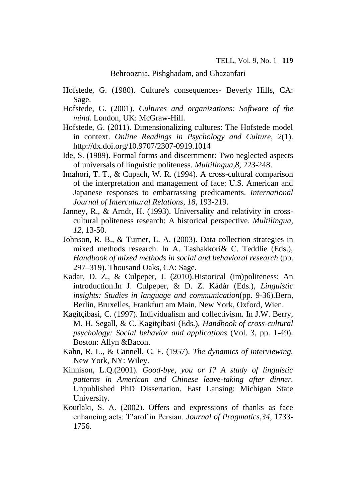- Hofstede, G. (1980). Culture's consequences- Beverly Hills, CA: Sage.
- Hofstede, G. (2001). *Cultures and organizations: Software of the mind.* London, UK: McGraw-Hill.
- Hofstede, G. (2011). Dimensionalizing cultures: The Hofstede model in context. *Online Readings in Psychology and Culture, 2*(1). http://dx.doi.org/10.9707/2307-0919.1014
- Ide, S. (1989). Formal forms and discernment: Two neglected aspects of universals of linguistic politeness. *Multilingua*,*8*, 223-248.
- Imahori, T. T., & Cupach, W. R. (1994). A cross-cultural comparison of the interpretation and management of face: U.S. American and Japanese responses to embarrassing predicaments. *International Journal of Intercultural Relations*, *18*, 193-219.
- Janney, R., & Arndt, H. (1993). Universality and relativity in crosscultural politeness research: A historical perspective. *Multilingua, 12*, 13-50.
- Johnson, R. B., & Turner, L. A. (2003). Data collection strategies in mixed methods research. In A. Tashakkori& C. Teddlie (Eds.), *Handbook of mixed methods in social and behavioral research* (pp. 297–319). Thousand Oaks, CA: Sage.
- Kadar, D. Z., & Culpeper, J. (2010).Historical (im)politeness: An introduction.In J. Culpeper, & D. Z. Kádár (Eds.), *Linguistic insights: Studies in language and communication*(pp. 9-36)*.*Bern, Berlin, Bruxelles, Frankfurt am Main, New York, Oxford, Wien.
- Kagitçibasi, C. (1997). Individualism and collectivism. In J.W. Berry, M. H. Segall, & C. Kagitçibasi (Eds.), *Handbook of cross-cultural psychology: Social behavior and applications* (Vol. 3, pp. 1-49). Boston: Allyn &Bacon.
- Kahn, R. L., & Cannell, C. F. (1957). *The dynamics of interviewing.* New York, NY: Wiley.
- Kinnison, L.Q.(2001). *Good-bye, you or I? A study of linguistic patterns in American and Chinese leave-taking after dinner.* Unpublished PhD Dissertation. East Lansing: Michigan State University.
- Koutlaki, S. A. (2002). Offers and expressions of thanks as face enhancing acts: T'arof in Persian. *Journal of Pragmatics*,*34*, 1733- 1756.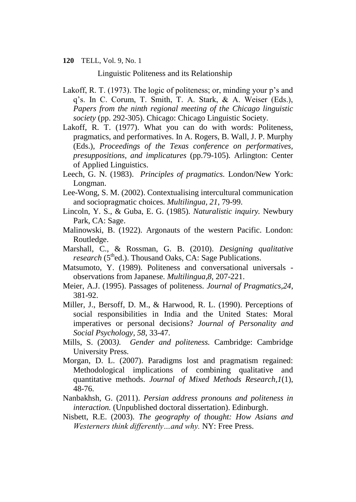Linguistic Politeness and its Relationship

- Lakoff, R. T. (1973). The logic of politeness; or, minding your p's and q's. In C. Corum, T. Smith, T. A. Stark, & A. Weiser (Eds.), *Papers from the ninth regional meeting of the Chicago linguistic society* (pp. 292-305). Chicago: Chicago Linguistic Society.
- Lakoff, R. T. (1977). What you can do with words: Politeness, pragmatics, and performatives. In A. Rogers, B. Wall, J. P. Murphy (Eds.), *Proceedings of the Texas conference on performatives, presuppositions, and implicatures* (pp.79-105)*.* Arlington: Center of Applied Linguistics.
- Leech, G. N. (1983). *Principles of pragmatics.* London/New York: Longman.
- Lee-Wong, S. M. (2002). Contextualising intercultural communication and sociopragmatic choices. *Multilingua, 21*, 79-99.
- Lincoln, Y. S., & Guba, E. G. (1985). *Naturalistic inquiry.* Newbury Park, CA: Sage.
- Malinowski, B. (1922). Argonauts of the western Pacific. London: Routledge.
- Marshall, C., & Rossman, G. B. (2010). *Designing qualitative research* (5<sup>th</sup>ed.). Thousand Oaks, CA: Sage Publications.
- Matsumoto, Y. (1989). Politeness and conversational universals observations from Japanese. *Multilingua,8*, 207-221.
- Meier, A.J. (1995). Passages of politeness. *Journal of Pragmatics,24*, 381-92.
- Miller, J., Bersoff, D. M., & Harwood, R. L. (1990). Perceptions of social responsibilities in India and the United States: Moral imperatives or personal decisions? *Journal of Personality and Social Psychology, 58*, 33-47.
- Mills, S. (2003*). Gender and politeness.* Cambridge: Cambridge University Press.
- Morgan, D. L. (2007). Paradigms lost and pragmatism regained: Methodological implications of combining qualitative and quantitative methods. *Journal of Mixed Methods Research,1*(1), 48-76.
- Nanbakhsh, G. (2011). *Persian address pronouns and politeness in interaction.* (Unpublished doctoral dissertation). Edinburgh.
- Nisbett, R.E. (2003). *The geography of thought: How Asians and Westerners think differently…and why.* NY: Free Press.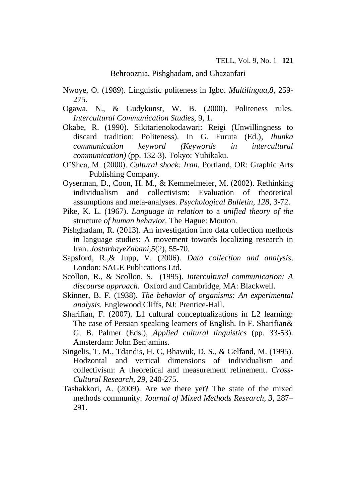- Nwoye, O. (1989). Linguistic politeness in Igbo. *Multilingua,8*, 259- 275.
- Ogawa, N., & Gudykunst, W. B. (2000). Politeness rules. *Intercultural Communication Studies,* 9, 1.
- Okabe, R. (1990). Sikitarienokodawari: Reigi (Unwillingness to discard tradition: Politeness). In G. Furuta (Ed.), *Ibunka communication keyword (Keywords in intercultural communication)* (pp. 132-3). Tokyo: Yuhikaku.
- O'Shea, M. (2000). *Cultural shock: Iran.* Portland, OR: Graphic Arts Publishing Company.
- Oyserman, D., Coon, H. M., & Kemmelmeier, M. (2002). Rethinking individualism and collectivism: Evaluation of theoretical assumptions and meta-analyses. *Psychological Bulletin, 128*, 3-72.
- Pike, K. L. (1967). *Language in relation* to a *unified theory of the*  structure *of human behavior.* The Hague: Mouton.
- Pishghadam, R. (2013). An investigation into data collection methods in language studies: A movement towards localizing research in Iran. *JostarhayeZabani,5*(2), 55-70.
- Sapsford, R.,& Jupp, V. (2006). *Data collection and analysis*. London: SAGE Publications Ltd.
- Scollon, R., & Scollon, S. (1995). *Intercultural communication: A discourse approach.* Oxford and Cambridge, MA: Blackwell.
- Skinner, B. F. (1938). *The behavior of organisms: An experimental analysis.* Englewood Cliffs, NJ: Prentice-Hall.
- Sharifian, F. (2007). L1 cultural conceptualizations in L2 learning: The case of Persian speaking learners of English. In F. Sharifian& G. B. Palmer (Eds.), *Applied cultural linguistics* (pp. 33-53). Amsterdam: John Benjamins.
- Singelis, T. M., Tdandis, H. C, Bhawuk, D. S., & Gelfand, M. (1995). Hodzontal and vertical dimensions of individualism and collectivism: A theoretical and measurement refinement. *Cross-Cultural Research, 29*, 240-275.
- Tashakkori, A. (2009). Are we there yet? The state of the mixed methods community. *Journal of Mixed Methods Research, 3*, 287– 291.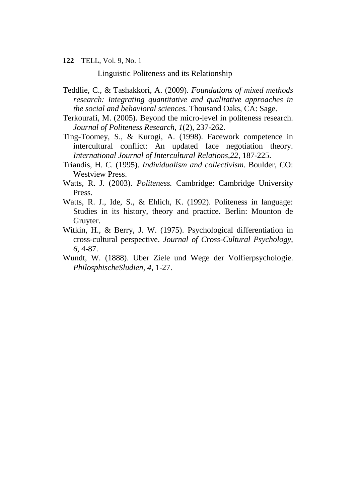Linguistic Politeness and its Relationship

- Teddlie, C., & Tashakkori, A. (2009). *Foundations of mixed methods research: Integrating quantitative and qualitative approaches in the social and behavioral sciences.* Thousand Oaks, CA: Sage.
- Terkourafi, M. (2005). Beyond the micro-level in politeness research. *Journal of Politeness Research, 1*(2), 237-262.
- Ting-Toomey, S., & Kurogi, A. (1998). Facework competence in intercultural conflict: An updated face negotiation theory. *International Journal of Intercultural Relations,22*, 187-225.
- Triandis, H. C. (1995). *Individualism and collectivism*. Boulder, CO: Westview Press.
- Watts, R. J. (2003). *Politeness.* Cambridge: Cambridge University Press.
- Watts, R. J., Ide, S., & Ehlich, K. (1992). Politeness in language: Studies in its history, theory and practice. Berlin: Mounton de Gruyter.
- Witkin, H., & Berry, J. W. (1975). Psychological differentiation in cross-cultural perspective. *Journal of Cross-Cultural Psychology, 6*, 4-87.
- Wundt, W. (1888). Uber Ziele und Wege der Volfierpsychologie. *PhilosphischeSludien, 4*, 1-27.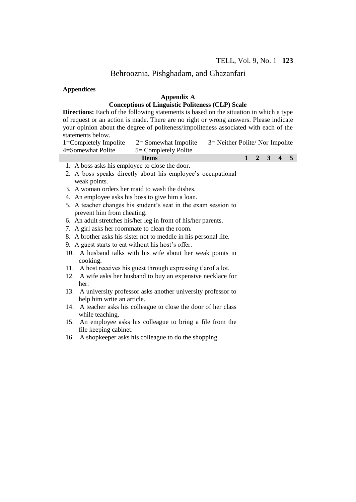#### **Appendices**

#### **Appendix A**

### **Conceptions of Linguistic Politeness (CLP) Scale**

**Directions:** Each of the following statements is based on the situation in which a type of request or an action is made. There are no right or wrong answers. Please indicate your opinion about the degree of politeness/impoliteness associated with each of the statements below.

| 1=Completely Impolite<br>4=Somewhat Polite | $2 =$ Somewhat Impolite<br>$5 =$ Completely Polite | $3$ = Neither Polite/ Nor Impolite |  |  |  |                     |  |
|--------------------------------------------|----------------------------------------------------|------------------------------------|--|--|--|---------------------|--|
|                                            | <b>Items</b>                                       |                                    |  |  |  | $1 \t2 \t3 \t4 \t5$ |  |

- 1. A boss asks his employee to close the door.
- 2. A boss speaks directly about his employee's occupational weak points.
- 3. A woman orders her maid to wash the dishes.
- 4. An employee asks his boss to give him a loan.
- 5. A teacher changes his student's seat in the exam session to prevent him from cheating.
- 6. An adult stretches his/her leg in front of his/her parents.
- 7. A girl asks her roommate to clean the room.
- 8. A brother asks his sister not to meddle in his personal life.
- 9. A guest starts to eat without his host's offer.
- 10. A husband talks with his wife about her weak points in cooking.
- 11. A host receives his guest through expressing t'arof a lot.
- 12. A wife asks her husband to buy an expensive necklace for her.
- 13. A university professor asks another university professor to help him write an article.
- 14. A teacher asks his colleague to close the door of her class while teaching.
- 15. An employee asks his colleague to bring a file from the file keeping cabinet.
- 16. A shopkeeper asks his colleague to do the shopping.